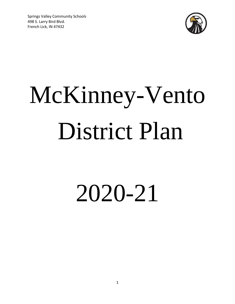Springs Valley Community Schools 498 S. Larry Bird Blvd. French Lick, IN 47432



# McKinney-Vento District Plan

# 2020-21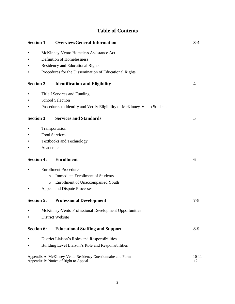# **Table of Contents**

| <b>Section 1:</b> |                                                                           | <b>Overview/General Information</b>                                                                  | $3 - 4$         |  |  |  |
|-------------------|---------------------------------------------------------------------------|------------------------------------------------------------------------------------------------------|-----------------|--|--|--|
|                   | McKinney-Vento Homeless Assistance Act                                    |                                                                                                      |                 |  |  |  |
|                   | Definition of Homelessness                                                |                                                                                                      |                 |  |  |  |
|                   | Residency and Educational Rights                                          |                                                                                                      |                 |  |  |  |
|                   |                                                                           | Procedures for the Dissemination of Educational Rights                                               |                 |  |  |  |
| <b>Section 2:</b> |                                                                           | <b>Identification and Eligibility</b>                                                                | 4               |  |  |  |
|                   |                                                                           | Title I Services and Funding                                                                         |                 |  |  |  |
|                   |                                                                           | <b>School Selection</b>                                                                              |                 |  |  |  |
|                   |                                                                           | Procedures to Identify and Verify Eligibility of McKinney-Vento Students                             |                 |  |  |  |
| <b>Section 3:</b> |                                                                           | <b>Services and Standards</b>                                                                        | 5               |  |  |  |
|                   |                                                                           | Transportation                                                                                       |                 |  |  |  |
|                   | <b>Food Services</b>                                                      |                                                                                                      |                 |  |  |  |
|                   | <b>Textbooks and Technology</b>                                           |                                                                                                      |                 |  |  |  |
|                   | Academic                                                                  |                                                                                                      |                 |  |  |  |
| <b>Section 4:</b> |                                                                           | <b>Enrollment</b>                                                                                    | 6               |  |  |  |
|                   |                                                                           | <b>Enrollment Procedures</b>                                                                         |                 |  |  |  |
|                   | $\Omega$                                                                  | <b>Immediate Enrollment of Students</b>                                                              |                 |  |  |  |
|                   | $\circ$                                                                   | <b>Enrollment of Unaccompanied Youth</b>                                                             |                 |  |  |  |
|                   |                                                                           | Appeal and Dispute Processes                                                                         |                 |  |  |  |
| <b>Section 5:</b> |                                                                           | <b>Professional Development</b>                                                                      | $7 - 8$         |  |  |  |
|                   |                                                                           |                                                                                                      |                 |  |  |  |
|                   | McKinney-Vento Professional Development Opportunities<br>District Website |                                                                                                      |                 |  |  |  |
| <b>Section 6:</b> |                                                                           | <b>Educational Staffing and Support</b>                                                              | $8-9$           |  |  |  |
|                   |                                                                           | District Liaison's Roles and Responsibilities                                                        |                 |  |  |  |
|                   | Building Level Liaison's Role and Responsibilities                        |                                                                                                      |                 |  |  |  |
|                   |                                                                           | Appendix A: McKinney-Vento Residency Questionnaire and Form<br>Appendix B: Notice of Right to Appeal | $10 - 11$<br>12 |  |  |  |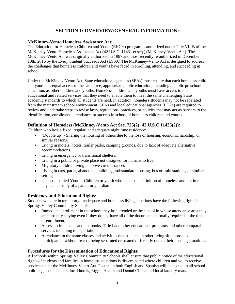# **SECTION 1: OVERVIEW/GENERAL INFORMATION:**

#### **McKinney-Vento Homeless Assistance Act:**

The Education for Homeless Children and Youth (EHCY) program is authorized under Title VII-B of the McKinney-Vento Homeless Assistance Act (42 U.S.C. 11431 et seq.) (McKinney-Vento Act). The McKinney-Vento Act was originally authorized in 1987 and most recently re-authorized in December 10th, 2016 by the Every Student Succeeds Act (ESSA).The McKinney-Vento Act is designed to address the challenges that homeless children and youths have faced in enrolling, attending, and succeeding in school.

Under the McKinney-Vento Act, State educational agencies (SEAs) must ensure that each homeless child and youth has equal access to the same free, appropriate public education, including a public preschool education, as other children and youths. Homeless children and youths must have access to the educational and related services that they need to enable them to meet the same challenging State academic standards to which all students are held. In addition, homeless students may not be separated from the mainstream school environment. SEAs and local educational agencies (LEAs) are required to review and undertake steps to revise laws, regulations, practices, or policies that may act as barriers to the identification, enrollment, attendance, or success in school of homeless children and youths.

#### **Definition of Homeless (McKinney-Vento Act Sec. 725(2); 42 U.S.C 11435(2)):**

Children who lack a fixed, regular, and adequate night time residence:

- "Double up" Sharing the housing of others due to the loss of housing, economic hardship, or similar reasons.
- Living in motels, hotels, trailer parks, camping grounds, due to lack of adequate alternative accommodations.
- Living in emergency or transitional shelters.
- Living in a public or private place not designed for humans to live.
- Migratory children living in above circumstances
- Living in cars, parks, abandoned buildings, substandard housing, bus or train stations, or similar settings
- Unaccompanied Youth Children or youth who meets the definition of homeless and not in the physical custody of a parent or guardian

#### **Residency and Educational Rights:**

Students who are in temporary, inadequate and homeless living situations have the following rights in Springs Valley Community Schools:

- Immediate enrollment in the school they last attended or the school in whose attendance area they are currently staying even if they do not have all of the documents normally required at the time of enrollment;
- Access to free meals and textbooks, Title I and other educational programs and other comparable services including transportation;
- Attendance in the same classes and activities that students in other living situations also participate in without fear of being separated or treated differently due to their housing situations.

#### **Procedures for the Dissemination of Educational Rights:**

All schools within Springs Valley Community Schools shall ensure that public notice of the educational rights of students and families in homeless situations is disseminated where children and youth receive services under the McKinney-Vento Act. Posters in both English and Spanish will be posted in all school buildings, local shelters, local hotels, Rigg's Health and Dental Clinic, and local laundry mats.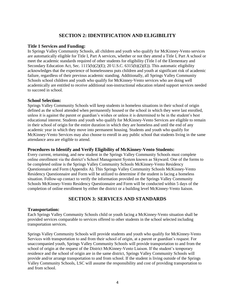# **SECTION 2: IDENTIFICATION AND ELIGIBILITY**

#### **Title 1 Services and Funding:**

In Springs Valley Community Schools, all children and youth who qualify for McKinney-Vento services are automatically eligible for Title I, Part A services, whether or not they attend a Title I, Part A school or meet the academic standards required of other students for eligibility (Title I of the Elementary and Secondary Education Act, Sec. 1115(b)(2)(E); 20 U.S.C. 6315(b)(2)(E)). This automatic eligibility acknowledges that the experience of homelessness puts children and youth at significant risk of academic failure, regardless of their previous academic standing. Additionally, all Springs Valley Community Schools school children and youth who qualify for McKinney-Vento services who are doing well academically are entitled to receive additional non-instructional education related support services needed to succeed in school.

#### **School Selection:**

Springs Valley Community Schools will keep students in homeless situations in their school of origin defined as the school attended when permanently housed or the school in which they were last enrolled, unless it is against the parent or guardian's wishes or unless it is determined to be in the student's best educational interest. Students and youth who qualify for McKinney-Vento Services are eligible to remain in their school of origin for the entire duration in which they are homeless and until the end of any academic year in which they move into permanent housing. Students and youth who qualify for McKinney-Vento Services may also choose to enroll in any public school that students living in the same attendance area are eligible to attend.

#### **Procedures to Identify and Verify Eligibility of McKinney-Vento Students:**

Every current, returning, and new student in the Springs Valley Community Schools must complete online enrollment via the district's School Management System known as Skyward. One of the forms to be completed online is the Springs Valley Community Schools McKinney-Vento Residency Questionnaire and Form (Appendix A). This Springs Valley Community Schools McKinney-Vento Residency Questionnaire and Form will be utilized to determine if the student is facing a homeless situation. Follow-up contact to verify the information provided on the Springs Valley Community Schools McKinney-Vento Residency Questionnaire and Form will be conducted within 5 days of the completion of online enrollment by either the district or a building level McKinney-Vento liaison.

#### **SECTION 3: SERVICES AND STANDARDS**

#### **Transportation:**

Each Springs Valley Community Schools child or youth facing a McKinney-Vento situation shall be provided services comparable to services offered to other students in the school selected including transportation services.

Springs Valley Community Schools will provide students and youth who qualify for McKinney-Vento Services with transportation to and from their school of origin, at a parent or guardian's request. For unaccompanied youth, Springs Valley Community Schools will provide transportation to and from the school of origin at the request of the District McKinney-Vento Liaison. If the student's temporary residence and the school of origin are in the same district, Springs Valley Community Schools will provide and/or arrange transportation to and from school. If the student is living outside of the Springs Valley Community Schools, LSC will assume the responsibility and cost of providing transportation to and from school.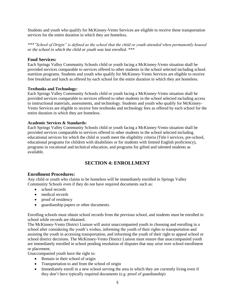Students and youth who qualify for McKinney-Vento Services are eligible to receive these transportation services for the entire duration in which they are homeless.

*\*\*\*"School of Origin" is defined as the school that the child or youth attended when permanently housed or the school in which the child or youth was last enrolled. \*\*\**

#### **Food Services:**

Each Springs Valley Community Schools child or youth facing a McKinney-Vento situation shall be provided services comparable to services offered to other students in the school selected including school nutrition programs. Students and youth who qualify for McKinney-Vento Services are eligible to receive free breakfast and lunch as offered by each school for the entire duration in which they are homeless.

#### **Textbooks and Technology:**

Each Springs Valley Community Schools child or youth facing a McKinney-Vento situation shall be provided services comparable to services offered to other students in the school selected including access to instructional materials, assessments, and technology. Students and youth who qualify for McKinney-Vento Services are eligible to receive free textbooks and technology fees as offered by each school for the entire duration in which they are homeless.

#### **Academic Services & Standards:**

Each Springs Valley Community Schools child or youth facing a McKinney-Vento situation shall be provided services comparable to services offered to other students in the school selected including educational services for which the child or youth meet the eligibility criteria (Title I services, pre-school, educational programs for children with disabilities or for students with limited English proficiency), programs in vocational and technical education, and programs for gifted and talented students as available.

# **SECTION 4: ENROLLMENT**

#### **Enrollment Procedures:**

Any child or youth who claims to be homeless will be immediately enrolled in Springs Valley Community Schools even if they do not have required documents such as:

- school records
- medical records
- proof of residency
- guardianship papers or other documents.

Enrolling schools must obtain school records from the previous school, and students must be enrolled in school while records are obtained.

The McKinney-Vento District Liaison will assist unaccompanied youth in choosing and enrolling in a school after considering the youth's wishes, informing the youth of their rights to transportation and assisting the youth in accessing transportation, and informing the youth of their right to appeal school or school district decisions. The McKinney-Vento District Liaison must ensure that unaccompanied youth are immediately enrolled in school pending resolution of disputes that may arise over school enrollment or placement.

Unaccompanied youth have the right to:

- Remain in their school of origin
- Transportation to and from the school of origin
- Immediately enroll in a new school serving the area in which they are currently living even if they don't have typically required documents (e.g. proof of guardianship)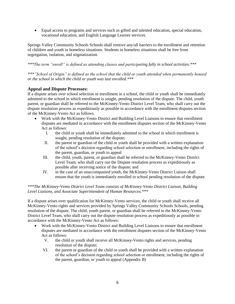Equal access to programs and services such as gifted and talented education, special education, vocational education, and English Language Learner services.

Springs Valley Community Schools Schools shall remove any/all barriers to the enrollment and retention of children and youth in homeless situations. Students in homeless situations shall be free from segregation, isolation, and stigmatization.

*\*\*\*The term "enroll" is defined as attending classes and participating fully in school activities.\*\*\**

*\*\*\*"School of Origin" is defined as the school that the child or youth attended when permanently housed or the school in which the child or youth was last enrolled.\*\*\** 

#### **Appeal and Dispute Processes:**

If a dispute arises over school selection or enrollment in a school, the child or youth shall be immediately admitted to the school in which enrollment is sought, pending resolution of the dispute. The child, youth parent, or guardian shall be referred to the McKinney-Vento District Level Team, who shall carry out the dispute resolution process as expeditiously as possible in accordance with the enrollment disputes section of the McKinney-Vento Act as follows.

- Work with the McKinney-Vento District and Building Level Liaisons to ensure that enrollment disputes are mediated in accordance with the enrollment disputes section of the McKinney-Vento Act as follows:
	- I. the child or youth shall be immediately admitted to the school in which enrollment is sought, pending resolution of the dispute;
	- II. the parent or guardian of the child or youth shall be provided with a written explanation of the school's decision regarding school selection or enrollment, including the rights of the parent, guardian, or youth to appeal
	- III. the child, youth, parent, or guardian shall be referred to the McKinney-Vento District Level Team, who shall carry out the Dispute resolution process as expeditiously as possible after receiving notice of the dispute; and
	- IV. in the case of an unaccompanied youth, the McKinney-Vento District Liaison shall ensure that the youth is immediately enrolled in school pending resolution of the dispute.

#### *\*\*\*The McKinney-Vento District Level Team consists of McKinney-Vento District Liaison, Building Level Liaisons, and Associate Superintendent of Human Resources.\*\*\**

If a dispute arises over qualification for McKinney-Vento services, the child or youth shall receive all McKinney-Vento rights and services provided by Springs Valley Community Schools Schools, pending resolution of the dispute. The child, youth parent, or guardian shall be referred to the McKinney-Vento District Level Team, who shall carry out the dispute resolution process as expeditiously as possible in accordance with the McKinney-Vento Act as follows:

- Work with the McKinney-Vento District and Building Level Liaisons to ensure that enrollment disputes are mediated in accordance with the enrollment disputes section of the McKinney-Vento Act as follows:
	- V. the child or youth shall receive all McKinney-Vento rights and services, pending resolution of the dispute;
	- VI. the parent or guardian of the child or youth shall be provided with a written explanation of the school's decision regarding school selection or enrollment, including the rights of the parent, guardian, or youth to appeal (Appendix B)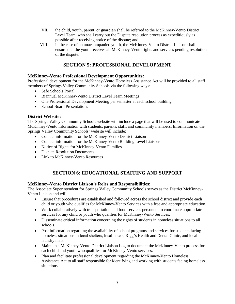- VII. the child, youth, parent, or guardian shall be referred to the McKinney-Vento District Level Team, who shall carry out the Dispute resolution process as expeditiously as possible after receiving notice of the dispute; and
- VIII. in the case of an unaccompanied youth, the McKinney-Vento District Liaison shall ensure that the youth receives all McKinney-Vento rights and services pending resolution of the dispute.

## **SECTION 5: PROFESSIONAL DEVELOPMENT**

#### **McKinney-Vento Professional Development Opportunities:**

Professional development for the McKinney-Vento Homeless Assistance Act will be provided to all staff members of Springs Valley Community Schools via the following ways:

- Safe Schools Portal
- Biannual McKinney-Vento District Level Team Meetings
- One Professional Development Meeting per semester at each school building
- School Board Presentations

#### **District Website:**

The Springs Valley Community Schools website will include a page that will be used to communicate McKinney-Vento information with students, parents, staff, and community members. Information on the Springs Valley Community Schools' website will include:

- Contact information for the McKinney-Vento District Liaison
- Contact information for the McKinney-Vento Building Level Liaisons
- Notice of Rights for McKinney-Vento Families
- Dispute Resolution Documents
- Link to McKinney-Vento Resources

# **SECTION 6: EDUCATIONAL STAFFING AND SUPPORT**

#### **McKinney-Vento District Liaison's Roles and Responsibilities:**

The Associate Superintendent for Springs Valley Community Schools serves as the District McKinney-Vento Liaison and will:

- Ensure that procedures are established and followed across the school district and provide each child or youth who qualifies for McKinney-Vento Services with a free and appropriate education.
- Work collaboratively with transportation and food services personnel to coordinate appropriate services for any child or youth who qualifies for McKinney-Vento Services.
- Disseminate critical information concerning the rights of students in homeless situations to all schools.
- Post information regarding the availability of school programs and services for students facing homeless situations in local shelters, local hotels, Rigg's Health and Dental Clinic, and local laundry mats.
- Maintain a McKinney-Vento District Liaison Log to document the McKinney-Vento process for each child and youth who qualifies for McKinney-Vento services.
- Plan and facilitate professional development regarding the McKinney-Vento Homeless Assistance Act to all staff responsible for identifying and working with students facing homeless situations.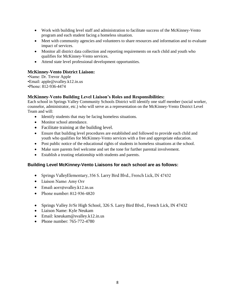- Work with building level staff and administration to facilitate success of the McKinney-Vento program and each student facing a homeless situation.
- Meet with community agencies and volunteers to share resources and information and to evaluate impact of services.
- Monitor all district data collection and reporting requirements on each child and youth who qualifies for McKinney-Vento services.
- Attend state level professional development opportunities.

#### **McKinney-Vento District Liaison:**

•Name: Dr. Trevor Apple •Email: apple@svalley.k12.in.us •Phone: 812-936-4474

#### **McKinney-Vento Building Level Liaison's Roles and Responsibilities:**

Each school in Springs Valley Community Schools District will identify one staff member (social worker, counselor, administrator, etc.) who will serve as a representation on the McKinney-Vento District Level Team and will:

- Identify students that may be facing homeless situations.
- Monitor school attendance.
- Facilitate training at the building level.
- Ensure that building level procedures are established and followed to provide each child and youth who qualifies for McKinney-Vento services with a free and appropriate education.
- Post public notice of the educational rights of students in homeless situations at the school.
- Make sure parents feel welcome and set the tone for further parental involvement.
- Establish a trusting relationship with students and parents.

#### **Building Level McKinney-Vento Liaisons for each school are as follows:**

- Springs ValleyElementary, 356 S. Larry Bird Blvd., French Lick, IN 47432
- Liaison Name: Amy Orr
- Email: aorr@svalley.k12.in.us
- Phone number:  $812-936-4820$
- Springs Valley Jr/Sr High School, 326 S. Larry Bird Blvd., French Lick, IN 47432
- Liaison Name: Kyle Neukam
- Email: kneukam@svalley.k12.in.us
- Phone number: 765-772-4780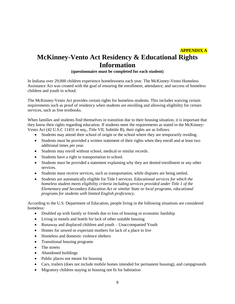# **APPENDIX A McKinney-Vento Act Residency & Educational Rights Information**

#### **(questionnaire must be completed for each student)**

In Indiana over 29,000 children experience homelessness each year. The McKinney-Vento Homeless Assistance Act was created with the goal of ensuring the enrollment, attendance, and success of homeless children and youth in school.

The McKinney-Vento Act provides certain rights for homeless students. This includes waiving certain requirements such as proof of residency when students are enrolling and allowing eligibility for certain services, such as free textbooks.

When families and students find themselves in transition due to their housing situation, it is important that they know their rights regarding education. If students meet the requirements as stated in the McKinney-Vento Act (42 U.S.C 11431 et seq., Title VII, Subtitle B), their rights are as follows:

- Students may attend their school of origin or the school where they are temporarily residing.
- Students must be provided a written statement of their rights when they enroll and at least two additional times per year.
- Students may enroll without school, medical or similar records.
- Students have a right to transportation to school.
- Students must be provided a statement explaining why they are denied enrollment or any other services.
- Students must receive services, such as transportation, while disputes are being settled.
- Students are automatically eligible for Title I services. *Educational services for which the homeless student meets eligibility criteria including services provided under Title 1 of the Elementary and Secondary Education Act or similar State or local programs, educational programs for students with limited English proficiency.*

According to the U.S. Department of Education, people living in the following situations are considered homeless:

- Doubled up with family or friends due to loss of housing or economic hardship
- Living in motels and hotels for lack of other suitable housing
- Runaway and displaced children and youth Unaccompanied Youth
- Homes for unwed or expectant mothers for lack of a place to live
- Homeless and domestic violence shelters
- Transitional housing programs
- The streets
- Abandoned buildings
- Public places not meant for housing
- Cars, trailers (does not include mobile homes intended for permanent housing), and campgrounds
- Migratory children staying in housing not fit for habitation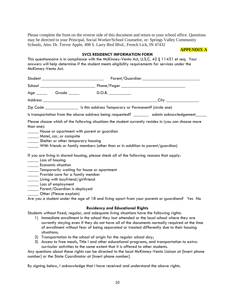Please complete the form on the reverse side of this document and return to your school office. Questions may be directed to your Principal, Social Worker/School Counselor, or: Springs Valley Community Schools, Attn: Dr. Trevor Apple, 498 S. Larry Bird Blvd., French Lick, IN 47432

#### **APPENDIX A**

#### **SVCS RESIDENCY INFORMATION FORM**

This questionnaire is in compliance with the McKinney-Vento Act, U.S.C. 42 § 11431 et seq. Your answers will help determine if the student meets eligibility requirements for services under the McKinney-Vento Act.

| Age Grade                                                                                                                                                                                                                                                                                                                                                                                                                                                                                                                                                                                                                       |  | D.O.B.                                                                                    |  |                          |  |  |  |  |
|---------------------------------------------------------------------------------------------------------------------------------------------------------------------------------------------------------------------------------------------------------------------------------------------------------------------------------------------------------------------------------------------------------------------------------------------------------------------------------------------------------------------------------------------------------------------------------------------------------------------------------|--|-------------------------------------------------------------------------------------------|--|--------------------------|--|--|--|--|
|                                                                                                                                                                                                                                                                                                                                                                                                                                                                                                                                                                                                                                 |  |                                                                                           |  | _City __________________ |  |  |  |  |
|                                                                                                                                                                                                                                                                                                                                                                                                                                                                                                                                                                                                                                 |  | Zip Code _______________________ Is this address Temporary or Permanent? (circle one)     |  |                          |  |  |  |  |
|                                                                                                                                                                                                                                                                                                                                                                                                                                                                                                                                                                                                                                 |  | Is transportation from the above address being requested? ________ admin acknowledgement_ |  |                          |  |  |  |  |
| Please choose which of the following situations the student currently resides in (you can choose more<br>than one):<br>House or apartment with parent or guardian<br>____ Motel, car, or campsite<br>Shelter or other temporary housing<br>_____ With friends or family members (other than or in addition to parent/guardian)<br>If you are living in shared housing, please check all of the following reasons that apply:<br>Loss of housing<br><b>Economic situation</b><br>Temporarily waiting for house or apartment<br>______ Provide care for a family member<br>Living with boyfriend/girlfriend<br>Loss of employment |  |                                                                                           |  |                          |  |  |  |  |
| _____ Parent/Guardian is deployed<br>Other (Please explain)                                                                                                                                                                                                                                                                                                                                                                                                                                                                                                                                                                     |  |                                                                                           |  |                          |  |  |  |  |
| Are you a student under the age of 18 and living apart from your parents or guardians? Yes No                                                                                                                                                                                                                                                                                                                                                                                                                                                                                                                                   |  |                                                                                           |  |                          |  |  |  |  |

#### **Residency and Educational Rights**

Students without fixed, regular, and adequate living situations have the following rights:

- 1) Immediate enrollment in the school they last attended or the local school where they are currently staying even if they do not have all of the documents normally required at the time of enrollment without fear of being separated or treated differently due to their housing situations;
- 2) Transportation to the school of origin for the regular school day;
- 3) Access to free meals, Title I and other educational programs, and transportation to extracurricular activities to the same extent that it is offered to other students.

Any questions about these rights can be directed to the local McKinney-Vento Liaison at [Insert phone number] or the State Coordinator at [Insert phone number].

By signing below, I acknowledge that I have received and understand the above rights.